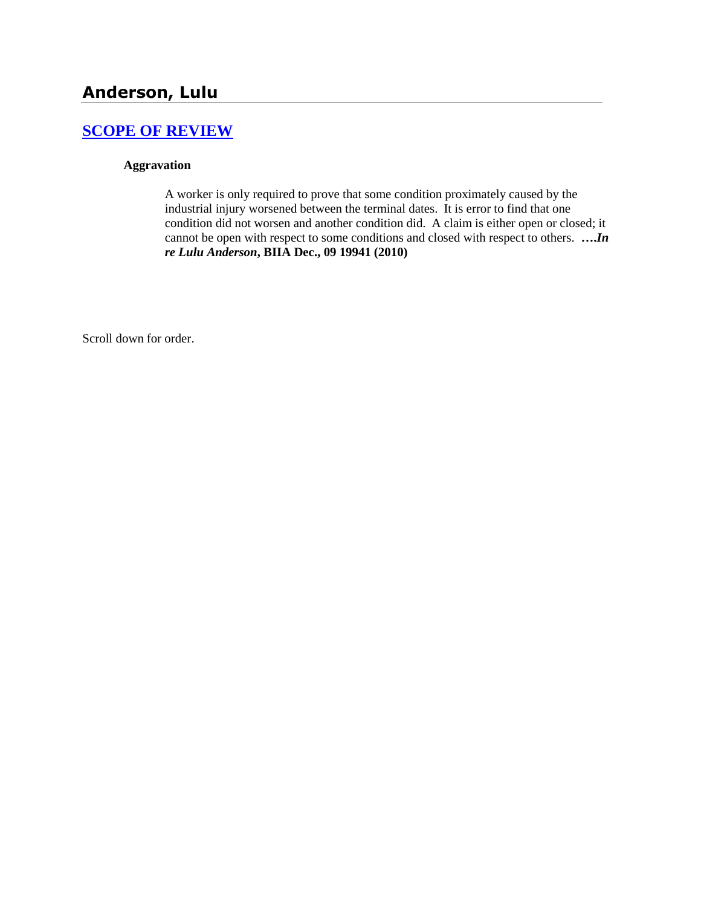# **Anderson, Lulu**

# **[SCOPE OF REVIEW](http://www.biia.wa.gov/SDSubjectIndex.html#SCOPE_OF_REVIEW)**

### **Aggravation**

A worker is only required to prove that some condition proximately caused by the industrial injury worsened between the terminal dates. It is error to find that one condition did not worsen and another condition did. A claim is either open or closed; it cannot be open with respect to some conditions and closed with respect to others. **….***In re Lulu Anderson***, BIIA Dec., 09 19941 (2010)**

Scroll down for order.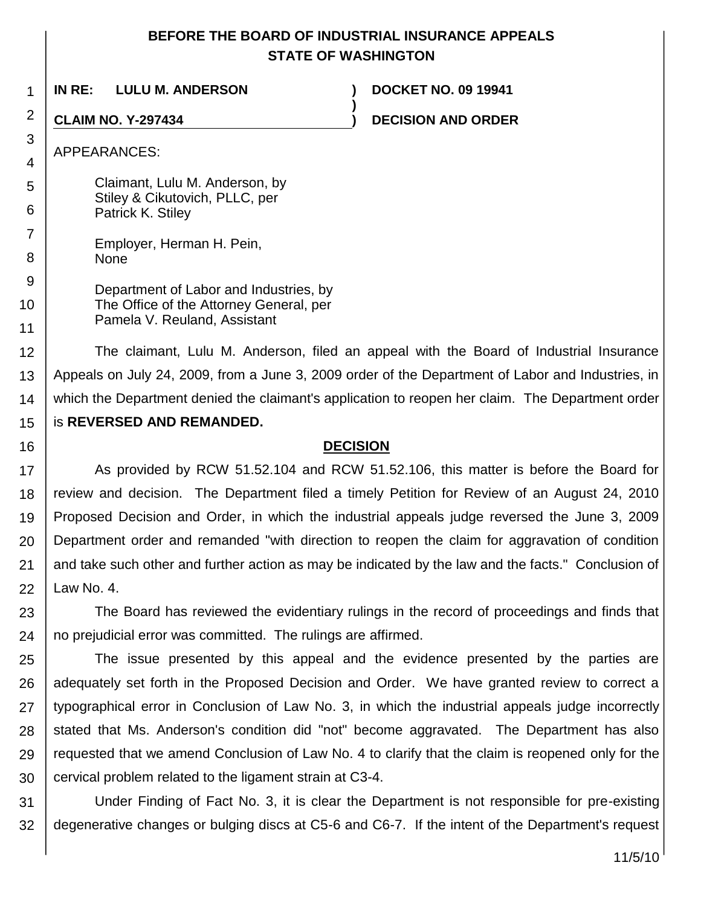## **BEFORE THE BOARD OF INDUSTRIAL INSURANCE APPEALS STATE OF WASHINGTON**

**)**

1 **IN RE: LULU M. ANDERSON ) DOCKET NO. 09 19941**

**CLAIM NO. Y-297434 ) DECISION AND ORDER**

### APPEARANCES:

2

3

4

5 6

7

8 9

10

11

16

Claimant, Lulu M. Anderson, by Stiley & Cikutovich, PLLC, per Patrick K. Stiley

Employer, Herman H. Pein, None

Department of Labor and Industries, by The Office of the Attorney General, per Pamela V. Reuland, Assistant

12 13 14 15 The claimant, Lulu M. Anderson, filed an appeal with the Board of Industrial Insurance Appeals on July 24, 2009, from a June 3, 2009 order of the Department of Labor and Industries, in which the Department denied the claimant's application to reopen her claim. The Department order is **REVERSED AND REMANDED.**

### **DECISION**

17 18 19 20 21 22 As provided by RCW 51.52.104 and RCW 51.52.106, this matter is before the Board for review and decision. The Department filed a timely Petition for Review of an August 24, 2010 Proposed Decision and Order, in which the industrial appeals judge reversed the June 3, 2009 Department order and remanded "with direction to reopen the claim for aggravation of condition and take such other and further action as may be indicated by the law and the facts." Conclusion of Law No. 4.

23 24 The Board has reviewed the evidentiary rulings in the record of proceedings and finds that no prejudicial error was committed. The rulings are affirmed.

25 26 27 28 29 30 The issue presented by this appeal and the evidence presented by the parties are adequately set forth in the Proposed Decision and Order. We have granted review to correct a typographical error in Conclusion of Law No. 3, in which the industrial appeals judge incorrectly stated that Ms. Anderson's condition did "not" become aggravated. The Department has also requested that we amend Conclusion of Law No. 4 to clarify that the claim is reopened only for the cervical problem related to the ligament strain at C3-4.

31 32 Under Finding of Fact No. 3, it is clear the Department is not responsible for pre-existing degenerative changes or bulging discs at C5-6 and C6-7. If the intent of the Department's request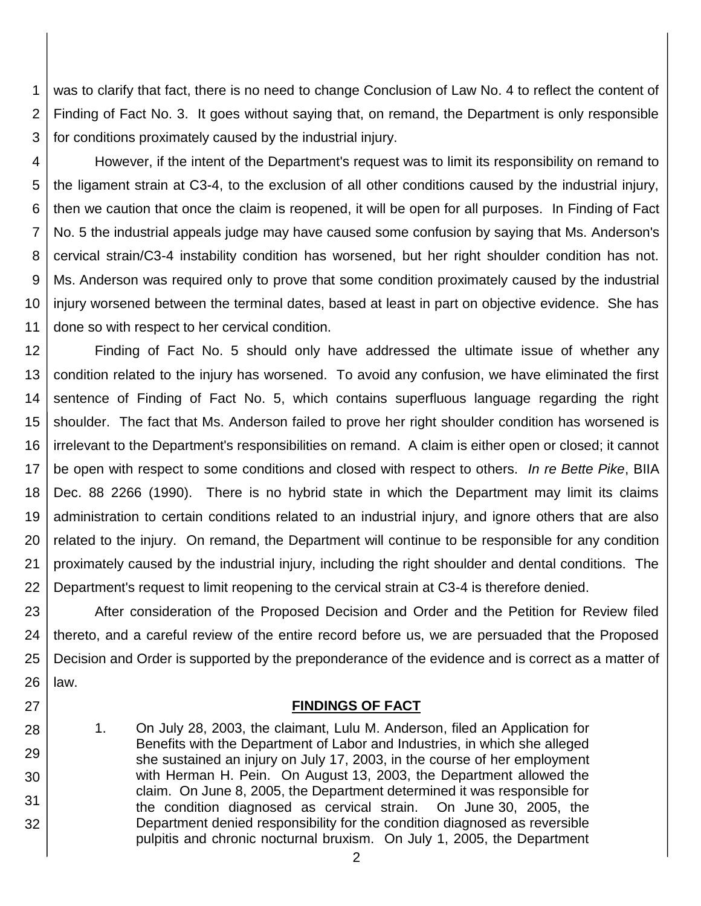1 2 3 was to clarify that fact, there is no need to change Conclusion of Law No. 4 to reflect the content of Finding of Fact No. 3. It goes without saying that, on remand, the Department is only responsible for conditions proximately caused by the industrial injury.

4 5 6 7 8 9 10 11 However, if the intent of the Department's request was to limit its responsibility on remand to the ligament strain at C3-4, to the exclusion of all other conditions caused by the industrial injury, then we caution that once the claim is reopened, it will be open for all purposes. In Finding of Fact No. 5 the industrial appeals judge may have caused some confusion by saying that Ms. Anderson's cervical strain/C3-4 instability condition has worsened, but her right shoulder condition has not. Ms. Anderson was required only to prove that some condition proximately caused by the industrial injury worsened between the terminal dates, based at least in part on objective evidence. She has done so with respect to her cervical condition.

12 13 14 15 16 17 18 19 20 21 22 Finding of Fact No. 5 should only have addressed the ultimate issue of whether any condition related to the injury has worsened. To avoid any confusion, we have eliminated the first sentence of Finding of Fact No. 5, which contains superfluous language regarding the right shoulder. The fact that Ms. Anderson failed to prove her right shoulder condition has worsened is irrelevant to the Department's responsibilities on remand. A claim is either open or closed; it cannot be open with respect to some conditions and closed with respect to others. *In re Bette Pike*, BIIA Dec. 88 2266 (1990). There is no hybrid state in which the Department may limit its claims administration to certain conditions related to an industrial injury, and ignore others that are also related to the injury. On remand, the Department will continue to be responsible for any condition proximately caused by the industrial injury, including the right shoulder and dental conditions. The Department's request to limit reopening to the cervical strain at C3-4 is therefore denied.

23 24 25 26 After consideration of the Proposed Decision and Order and the Petition for Review filed thereto, and a careful review of the entire record before us, we are persuaded that the Proposed Decision and Order is supported by the preponderance of the evidence and is correct as a matter of law.

### **FINDINGS OF FACT**

1. On July 28, 2003, the claimant, Lulu M. Anderson, filed an Application for Benefits with the Department of Labor and Industries, in which she alleged she sustained an injury on July 17, 2003, in the course of her employment with Herman H. Pein. On August 13, 2003, the Department allowed the claim. On June 8, 2005, the Department determined it was responsible for the condition diagnosed as cervical strain. On June 30, 2005, the Department denied responsibility for the condition diagnosed as reversible pulpitis and chronic nocturnal bruxism. On July 1, 2005, the Department

27

28

29

30

31

32

2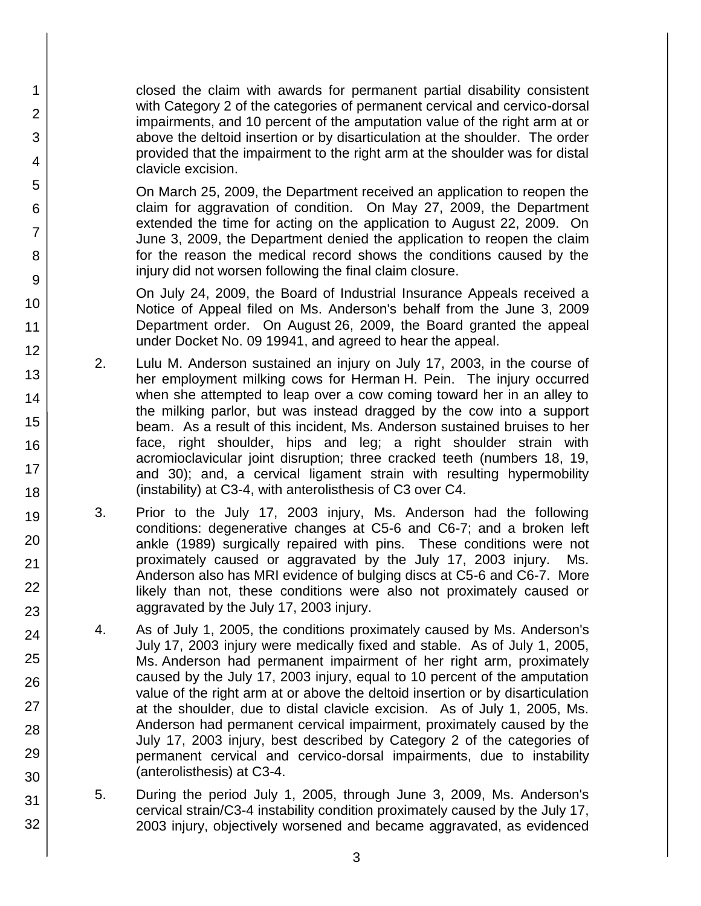closed the claim with awards for permanent partial disability consistent with Category 2 of the categories of permanent cervical and cervico-dorsal impairments, and 10 percent of the amputation value of the right arm at or above the deltoid insertion or by disarticulation at the shoulder. The order provided that the impairment to the right arm at the shoulder was for distal clavicle excision.

1

2

3

4

5

6

7

8

9

10

11

12

13

14

15

16

17 18

19

20

21 22

23

24

25

26

27

28

29

30

31

32

On March 25, 2009, the Department received an application to reopen the claim for aggravation of condition. On May 27, 2009, the Department extended the time for acting on the application to August 22, 2009. On June 3, 2009, the Department denied the application to reopen the claim for the reason the medical record shows the conditions caused by the injury did not worsen following the final claim closure.

On July 24, 2009, the Board of Industrial Insurance Appeals received a Notice of Appeal filed on Ms. Anderson's behalf from the June 3, 2009 Department order. On August 26, 2009, the Board granted the appeal under Docket No. 09 19941, and agreed to hear the appeal.

- 2. Lulu M. Anderson sustained an injury on July 17, 2003, in the course of her employment milking cows for Herman H. Pein. The injury occurred when she attempted to leap over a cow coming toward her in an alley to the milking parlor, but was instead dragged by the cow into a support beam. As a result of this incident, Ms. Anderson sustained bruises to her face, right shoulder, hips and leg; a right shoulder strain with acromioclavicular joint disruption; three cracked teeth (numbers 18, 19, and 30); and, a cervical ligament strain with resulting hypermobility (instability) at C3-4, with anterolisthesis of C3 over C4.
- 3. Prior to the July 17, 2003 injury, Ms. Anderson had the following conditions: degenerative changes at C5-6 and C6-7; and a broken left ankle (1989) surgically repaired with pins. These conditions were not proximately caused or aggravated by the July 17, 2003 injury. Ms. Anderson also has MRI evidence of bulging discs at C5-6 and C6-7. More likely than not, these conditions were also not proximately caused or aggravated by the July 17, 2003 injury.
- 4. As of July 1, 2005, the conditions proximately caused by Ms. Anderson's July 17, 2003 injury were medically fixed and stable. As of July 1, 2005, Ms. Anderson had permanent impairment of her right arm, proximately caused by the July 17, 2003 injury, equal to 10 percent of the amputation value of the right arm at or above the deltoid insertion or by disarticulation at the shoulder, due to distal clavicle excision. As of July 1, 2005, Ms. Anderson had permanent cervical impairment, proximately caused by the July 17, 2003 injury, best described by Category 2 of the categories of permanent cervical and cervico-dorsal impairments, due to instability (anterolisthesis) at C3-4.
- 5. During the period July 1, 2005, through June 3, 2009, Ms. Anderson's cervical strain/C3-4 instability condition proximately caused by the July 17, 2003 injury, objectively worsened and became aggravated, as evidenced